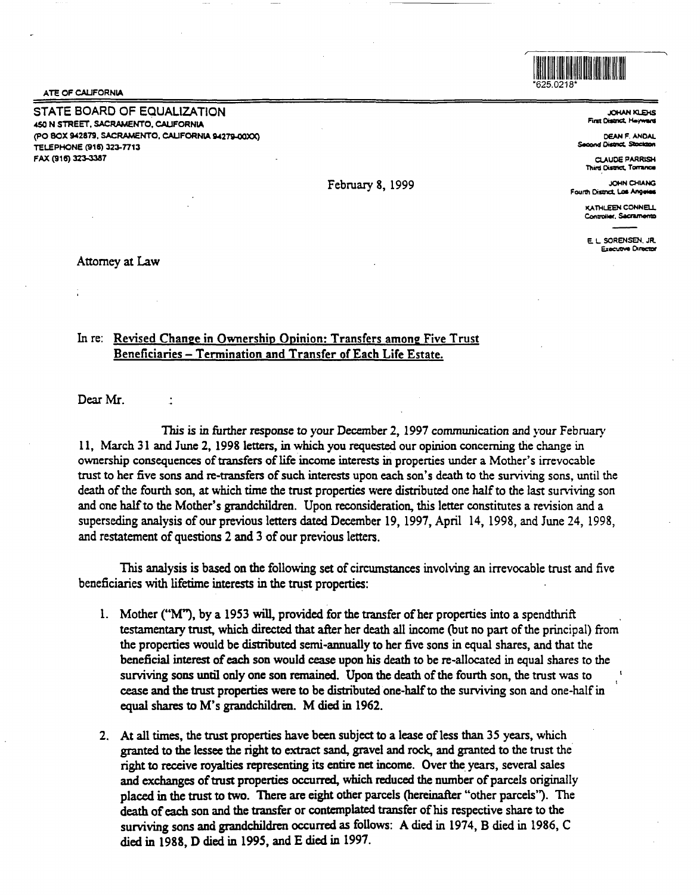ATE OF CALIFORNIA

STATE BOARD OF EQUALIZATION -450 N STREET, SACRAMENTO, CALIFORNIA (PO **BOX 9-42879,** SACRAMENTO, CALIFORNIA IM279-00XX) TELEPHONE (916) 323-7713 FAX (916) 323-3387

February 8, 1999

11111111111111111111111111111111111111111111111111 \*625.0218\*

> JOHAN KLEHS **First Oiatrict, Hassaure**

DEAN F. ANDAL **Second District, Stocks** 

CLAUDE **PARRISH Third District, Torrance** 

~NCMIANG Fourth District, Las Angeles

> KATHI FEN CONNELL **Controller.** Sacramento

E. L SORENSEN. JR. Executive Director

Attorney at Law

## In re: Revised Change in Ownership Opinion: Transfers among Five Trust Beneficiaries - Termination and Transfer of Each Life Estate.

Dear Mr.

 $\ddot{\phantom{a}}$ 

*This is* in further response to your December 2, 1997 communication and your February 11, March 31 and June 2, 1998 letters, in which you requested our opinion concerning the change in ownership consequences of transfers of life income interests in propenies under a Mother's irrevocable trust to her five sons and re-transfers of such interests upon each son's death to the surviving sons, until the death of the fourth son, at which time the trust properties were distributed one half to the last surviving son and one half to the Mother's grandchildren. Upon reconsideration, this letter constitutes a revision and a superseding analysis of our previous letters dated December 19, 1997, April 14, 1998, and June 24, 1998, and restatement of questions 2 and 3 of our previous letters.

This analysis is based on the following set of circumstances involving an irrevocable trust and five beneficiaries with lifetime interests in the trust properties:

- l. Mother ("M"), by a 1953 will, provided for the transfer of her propenies into a spendthrift testamentary trust, which directed that after her death all income (but no part of the principal) from the properties would be distributed semi-annually to her five sons in equal shares, and that the beneficial interest of each son would cease upon his death to be re-allocated in equal shares to the surviving sons until only one son remained. Upon the death of the fourth son, the trust was to cease and the trust properties were to be distributed one-half to the surviving son and one-half in equal shares to M's grandchildren. M died in 1962.
- 2. At all times, the trust properties have been subject to a lease of less than 35 years, which granted to the lessee the right to extract sand, gravel and rock, and granted to the trust the right to receive royalties representing its entire net income. Over the years, several sales and exchanges of trust properties occurred, which reduced the number of parcels originally placed in the trust to two. There are eight other parcels (hereinafter "other parcels''). The death of each son and the transfer or contemplated transfer of his respective share to the surviving sons and grandchildren occurred as follows: A died in 1974, B died in 1986, C died in 1988, D died in 1995, and E died in 1997.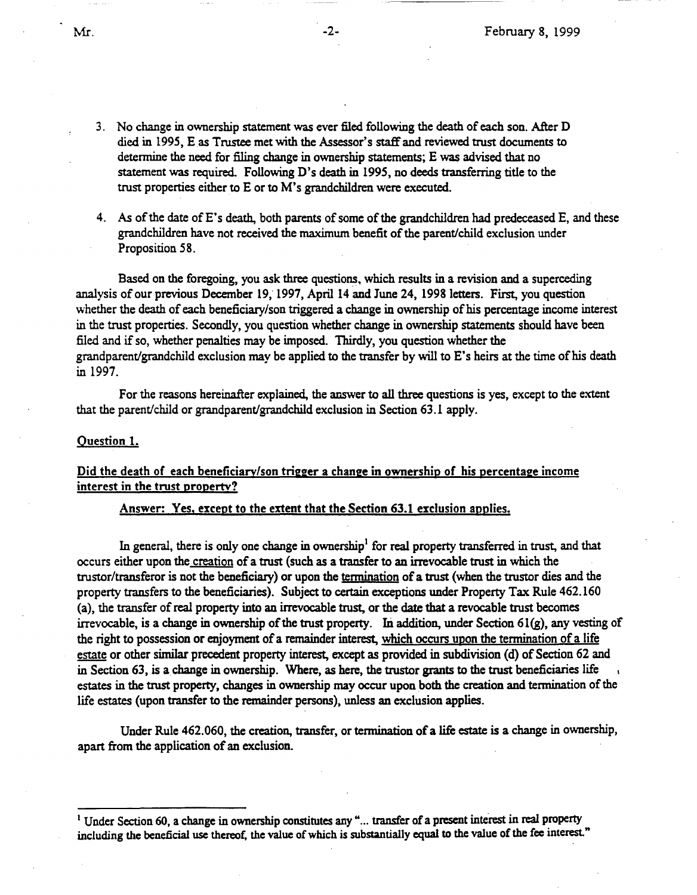- 3. No change in ownership statement was ever filed following the death of each son. After D died in 1995, E as Trustee met with the Assessor's staff and reviewed trust documents to determine the need for filing change in ownership statements; E was advised that no statement was required. Following D's death in 1995, no deeds transferring title to the trust properties either to E or to M's grandchildren were executed.
- 4. *As* of the date of E's death, both parents of some of the grandchildren had predeceased E, and these grandchildren have not received the maximum benefit of the parent/child exclusion under Proposition 58.

Based on the foregoing, you ask three questions. which results in a revision and a superceding analysis of our previous December 19, 1997, April 14 and June 24, 1998 letters. First, you question whether the death of each beneficiary/son triggered a change in ownership of his percentage income interest in the trust properties. Secondly, you question whether change in ownership statements should have been filed and if so, whether penalties may be imposed. Thirdly, you question whether the grandparent/grandchild exclusion may be applied to the transfer by will to E's heirs at the time of his death in 1997.

For the reasons hereinafter explained, the answer to all three questions is yes, except to the extent that the parent/child or grandparent/grandchild exclusion in Section 63.1 apply.

### Question 1.

# Did the death of each beneficiary/son trigger a change in ownership of his percentage income interest in the trust propertv?

## Answer: Yes, except to the extent that the Section 63.1 exclusion applies.

In general, there is only one change in ownership<sup>1</sup> for real property transferred in trust, and that occurs either upon the creation of a trust (such as a transfer to an irrevocable trust in which the trustor/transferor is not the beneficiary) or upon the termination of a trust (when the trustor dies and the property transfers to the beneficiaries). Subject to certain exceptions under Property Tax Rule 462. 160 (a), the transfer of real property into an irrevocable trust, or the date that a revocable trust becomes irrevocable, is a change in ownership of the trust property. In addition, under Section 61(g), any vesting of the right to possession or enjoyment of a remainder interest, which occurs upon the termination of a life estate or other similar precedent property interest, except as provided in subdivision (d) of Section 62 and in Section 63, is a change in ownership. Where, as here, the trustor grants to the trust beneficiaries life estates in the trust property, changes in ownership may occur upon both the creation and termination of the life estates (upon transfer to the remainder persons), unless an exclusion applies.

Under Rule 462.060, the creation, transfer, or termination of a life estate is a change in ownership, apart from the application of an exclusion.

<sup>&</sup>lt;sup>1</sup> Under Section 60, a change in ownership constitutes any "... transfer of a present interest in real property including the beneficial use thereof, the value of which is substantially equal to the value of the fee interest."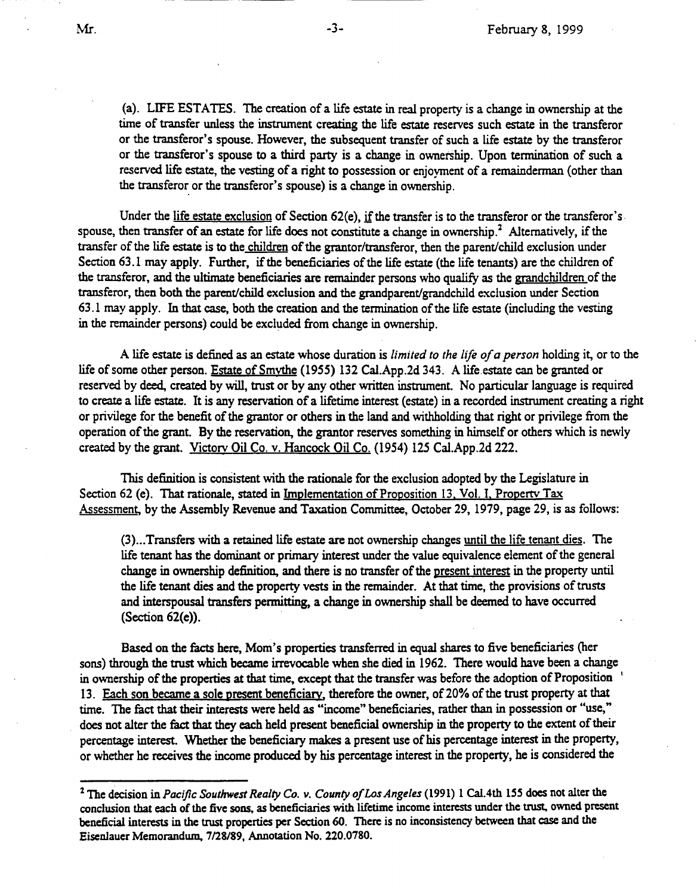(a). LIFE ESTATES. The creation of a life estate in real property is a change in ownership at the time of transfer unless the instrument creating the life estate reserves such estate in the transferor or the transferor's spouse. However, the subsequent transfer of such a life estate by the transferor or the transferor's spouse to a third party is a change in ownership. Upon tennination of such a reserved life estate, the vesting of a right to possession or enjoyment of a remainderman (other than the transferor or the transferor's spouse) is a change in ownership.

Under the life estate exclusion of Section 62(e), if the transfer is to the transferor or the transferor's. spouse, then transfer of an estate for life does not constitute a change in ownership.<sup>2</sup> Alternatively, if the transfer of the life estate is to the children of the grantor/transferor, then the parent/child exclusion under Section 63.1 may apply. Further, if the beneficiaries of the life estate (the life tenants) are the children of the transferor, and the ultimate beneficiaries are remainder persons who qualify as the grandchildren of the transferor, then both the parent/child exclusion and the grandparent/grandchild exclusion under Section 63 .1 may apply. In that case, both the creation and the tennination of the life estate (including the vesting in the remainder persons) could be excluded from change in ownership.

A life estate is defined as an estate whose duration is *limited to the life of a person* holding it, or to the life of some other person. Estate of Smythe (1955) 132 Cal.App.2d 343. A life estate can be granted or reserved by deed, created by will, trust or by any other written instrument. No particular language is required to create a life estate. It is any reservation of a lifetime interest (estate) in a recorded instrument creating a right or privilege for the benefit of the grantor or others in the land and withholding that right or privilege from the operation of the grant. By the reservation, the grantor reserves something in himself or others which is newly created by the grant. Victorv Oil Co. v. Hancock Oil Co. (1954) 125 Cal.App.2d 222.

This definition is consistent with the rationale for the exclusion adopted by the Legislature in Section 62 (e). That rationale, stated in Implementation of Proposition 13, Vol. I, Property Tax Assessment, by the Assembly Revenue and Taxation Committee, October 29, 1979, page 29, is as follows:

(3) ... Transfers with a retained life estate are not ownership changes until the life tenant dies. The life tenant has the dominant or primary interest under the value equivalence element of the general change in ownership definition, and there is no transfer of the present interest in the property until the life tenant dies and the property vests in the remainder. At that time, the provisions of trusts and interspousal transfers permitting, a change in ownership shall be deemed to have occurred (Section 62(e)).

Based on the facts here, Mom's properties transferred in equal shares to five beneficiaries (her sons) through the trust which became irrevocable when she died in 1962. There would have been a change in ownership of the properties at that time, except that the transfer was before the adoption of Proposition ' 13. Each son became a sole present beneficiary, therefore the owner, of 20% of the trust property at that time. The fact that their interests were held as "income" beneficiaries, rather than in possession or "use," does not alter the fact that they each held present beneficial ownership in the property to the extent of their percentage interest. Whether the beneficiary makes a present use of his percentage interest in the property, or whether he receives the income produced by his percentage interest in the property, he is considered the

<sup>2</sup>The decision in *Pacific Southwest Realty Co. v. County of Los Angeles* (1991) 1 Cal.4th 155 does not alter the conclusion *that* each of the five sons, as beneficiaries with lifetime income interests under the trust, owned present beneficial interests in the trust properties per Section 60. There is no inconsistency between *that* case and the Eisenlauer Memorandum, 7/28/89, Annotation No. 220.0780.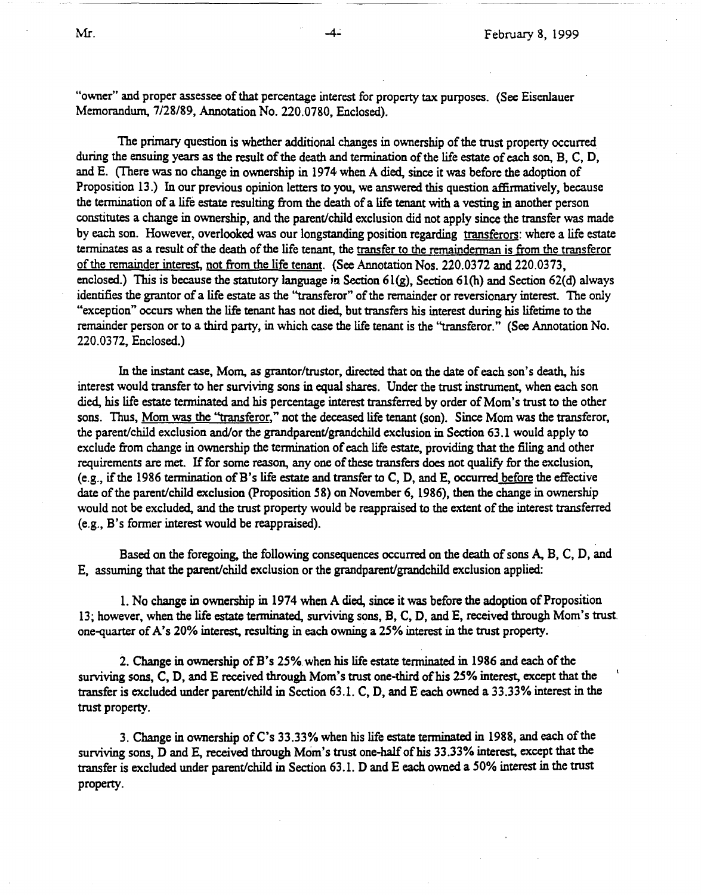"owner" and proper assessee of that percentage interest for property tax purposes. (See Eisenlauer Memorandum. 7/28/89, Annotation No. 220.0780, Enclosed).

The primary question is whether additional changes in ownership of the trust property occurred during the ensuing years as the result of the death and termination of the life estate of each son, B, C, D, and E. (There was no change in ownership in 1974 when A died, since it was before the adoption of Proposition 13.) In our previous opinion letters to you, we answered this question affirmatively, because the termination of a life estate resulting from the death of a life tenant with a vesting in another person constitutes a change in ownership, and the parent/child exclusion did not apply since the transfer was made by each son. However, overlooked was our longstanding position regarding transferors: where a life estate terminates as a result of the death of the life tenant, the transfer to the remainderman is from the transferor of the remainder interest, not from the life tenant. (See Annotation Nos. 220.0372 and 220.0373, enclosed.) This is because the statutory language in Section 61(g), Section 61(h) and Section 62(d) always identifies the grantor of a life estate as the ''transferor" of the remainder or reversionary interest. The only "exception" occurs when the life tenant has not died, but transfers his interest during his lifetime to the remainder person or to a third party, in which case the life tenant is the "transferor." (See Annotation No. 220.0372, Enclosed.)

In the instant case, Mom, as grantor/trustor, directed that on the date of each son's death, his interest would transfer to her surviving sons in equal shares. Under the trust instrument, when each son died, his life estate terminated and his percentage interest transferred by order of Mom's trust to the other sons. Thus, Mom was the "transferor," not the deceased life tenant (son). Since Mom was the transferor, the parent/child exclusion and/or the grandparent/grandchild exclusion in Section 63 .1 would apply to exclude from change in ownership the termination of each life estate, providing that the filing and other requirements are met. If for some reason, any one of these transfers does not qualify for the exclusion, (e.g., if the 1986 termination of B's life estate and transfer to C, D, and E, occurred before the effective date of the parent/child exclusion (Proposition 58) on November 6, 1986), then the change in ownership would not be excluded, and the trust property would be reappraised to the extent of the interest transferred (e.g., B's former interest would be reappraised).

Based on the foregoing, the following consequences occurred on the death of sons A, B, C, D, and E, assuming that the parent/child exclusion or the grandparent/grandchild exclusion applied:

1. No change in ownership in 1974 when A died, since it was before the adoption of Proposition 13; however, when the life estate terminated, surviving sons, B, C, D, and E, received through Mom's trust. one-quarter of A's 20% interest, resulting in each owning a 25% interest in the trust property.

2. Change in ownership of B's 25%.when his life estate terminated in 1986 and each of the surviving sons, C, D, and E received through Mom's trust one-third of his 25% interest, except that the transfer is excluded under parent/child in Section 63.1. C, D, and E each owned a 33.33% interest in the trust property.

3. Change in ownership of C's 33.33% when his life estate terminated in 1988, and each of the surviving sons, D and E, received through Mom's trust one-half of his 33.33% interest, except that the transfer is excluded under parent/child in Section 63.1. D and E each owned a *50%* interest in the trust property.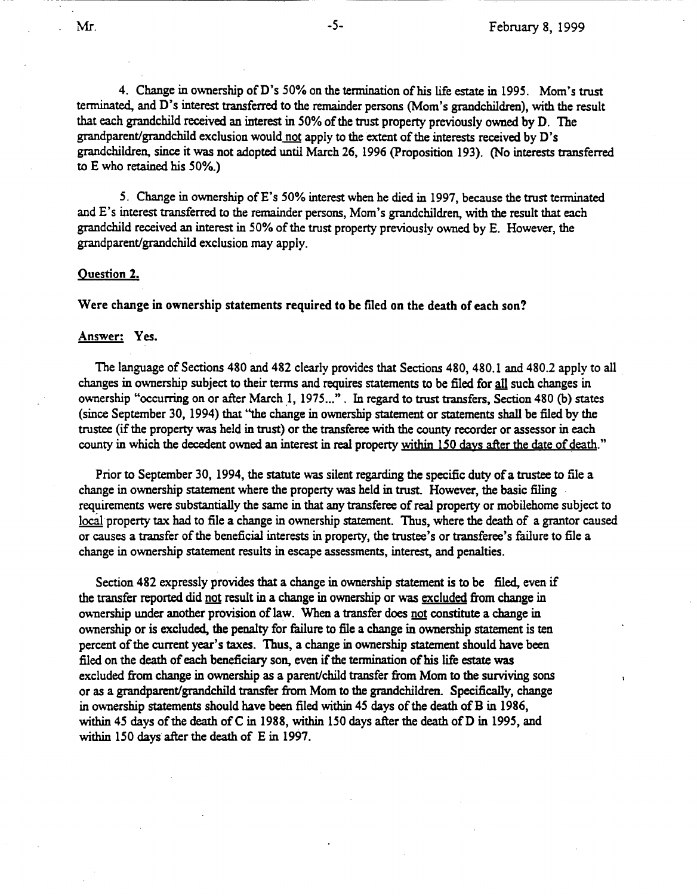4. Change in ownership of D's 50% on the tennination of his life estate in 1995. Mom's trust terminated, and D's interest transferred to the remainder persons (Mom's grandchildren), with the result that each grandchild received an interest in *50%* of the trust property previously owned by D. The grandparent/grandchild exclusion would not apply to the extent of the interests received by D's grandchildren, since it was not adopted until March 26, 1996 (Proposition 193). (No interests transferred to E who retained his 50%.)

*S.* Change in ownership of E's 50% interest when he died in 1997, because the trust terminated and E's interest transferred to the remainder persons, Mom's grandchildren, with the result that each grandchild received an interest in 50% of the trust property previously owned by E. However, the grandparent/grandchild exclusion may apply.

#### **Question 2.**

**Were change** in **ownership statements required to be filed on the death of each son?** 

#### **Answer: Yes.**

The language of Sections 480 and 482 clearly provides that Sections 480, 480.1 and 480.2 apply to all changes in ownership subject to their terms and requires statements to be filed for all such changes in ownership "occurring on or after March 1, 1975...". In regard to trust transfers, Section 480 (b) states (since September 30, 1994) that ''the change in ownership statement or statements shall be filed by the trustee (if the property was held in trust) or the transferee with the county recorder or assessor in each county in which the decedent owned an interest in real property within 150 days after the date of death."

Prior to September 30, 1994, the statute was silent regarding the specific duty of a trustee to file a change in ownership statement where the property was held in trust. However, the basic filing requirements were substantially the same in that any transferee of real property or mobilehome subject to local property tax had to file a change in ownership statement. Thus, where the death of a grantor caused or causes a transfer of the beneficial interests in property, the trustee's or transferee's failure to file a change in ownership statement results in escape assessments, interest, and penalties.

Section 482 expressly provides that a change in ownership statement is to be filed, even if the transfer reported did not result in a change in ownership or was excluded from change in ownership under another provision of law. When a transfer does not constitute a change in ownership or is excluded, the penalty for failure to file a change in ownership statement is ten percent of the current year's taxes. Thus, a change in ownership statement should have been filed on the death of each beneficiary son, even if the tennination of his life estate was excluded from change in ownership as a parent/child transfer from Mom to the surviving sons or as a grandparent/grandchild transfer from Mom to the grandchildren. Specifically, change in ownership statements should have been filed within 45 days of the death of B in 1986, within 45 days of the death of C in 1988, within 150 days after the death of D in 1995, and within 150 days after the death of E in 1997.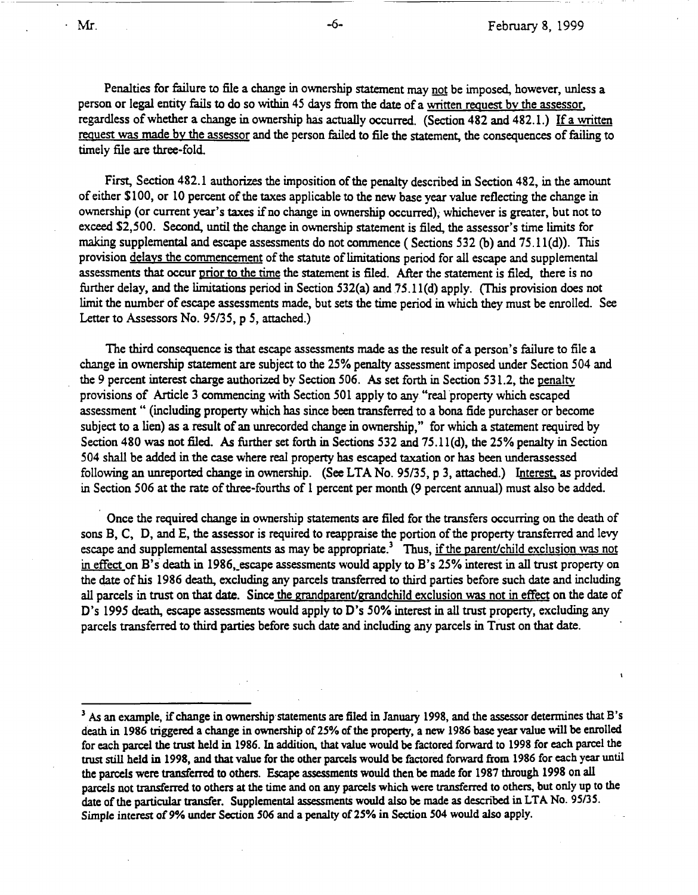Penalties for failure to file a change in ownership statement may not be imposed, however, unless a person or legal entity fails to do so within 45 days from the date of a written request bv the assessor, regardless of whether a change in ownership has actually occurred. (Section 482 and 482.1.) If a written request was made by the assessor and the person failed to file the statement, the consequences of failing to timely file are three-fold.

First, Section 482.1 authorizes the imposition of the penalty described in Section 482, in the amount of either \$100, or 10 percent of the taxes applicable to the new base year value reflecting the change in ownership (or current year's taxes if no change in ownership occurred), whichever is greater, but not to exceed \$2,500. Second, until the change in ownership statement is filed, the assessor's time limits for making supplemental and escape assessments do not commence ( Sections 532 (b) and 75.1 l(d)). This provision delays the commencement of the statute of limitations period for all escape and supplemental assessments that occur prior to the time the statement is filed. After the statement is filed, there is no further delay, and the limitations period in Section 532(a) and 75.11(d) apply. (This provision does not limit the number of escape assessments made, but sets the time period in which they must be enrolled. See Letter to Assessors No. 95/35, p 5, attached.)

The third consequence is that escape assessments made as the result of a person's failure to file a change in ownership statement are subject to the 25% penalty assessment imposed under Section 504 and the 9 percent interest charge authorized by Section 506. *As* set forth in Section 531.2, the penaltv provisions of Article 3 commencing with Section 501 apply to any "real property which escaped assessment " (including property which has since been transferred to a bona fide purchaser or become subject to a lien) as a result of an unrecorded change in ownership," for which a statement required by Section 480 was not filed. *As* further set forth in Sections 532 and 75.ll(d}, the 25% penalty in Section 504 shall be added in the case where real property has escaped taxation or has been underassessed following an unreported change in ownership. (See LTA No. 95/35, p 3, attached.) Interest, as provided in Section 506 at the rate of three-fourths of 1 percent per month (9 percent annual) must also be added.

Once the required change in ownership statements are filed for the transfers occurring on the death of sons B, C, D, and E, the assessor is required to reappraise the portion of the property transferred and levy escape and supplemental assessments as may be appropriate.<sup>3</sup> Thus, if the parent/child exclusion was not in effect on B's death in 1986, escape assessments would apply to B's 25% interest in all trust property on the date of his 1986 death, excluding any parcels transferred to third parties before such date and including all parcels in trust on that date. Since the grandparent/grandchild exclusion was not in effect on the date of D's 1995 death, escape assessments would apply to D's *50%* interest in all trust property, excluding any parcels transferred to third parties before such date and including any parcels in Trust on that date.

<sup>&</sup>lt;sup>3</sup> As an example, if change in ownership statements are filed in January 1998, and the assessor determines that B's death in 1986 triggered a change in ownership of 25% of the property, a new 1986 base year value will be enrolled for each parcel the trust held in 1986. In addition, that value would be factored forward to 1998 for each parcel the trust still held in 1998, and that value for the other parcels would be factored forward from 1986 for each year until the parcels were transferred to others. Escape assessments would then be made for 1987 through 1998 on all parcels not transferred to others at the time and on any parcels which were transferred to others, but only up to the date of the particular transfer. Supplemental assessments would also be made as described in LTA No. 95/3S. Simple interest of 9% under Section 506 and a penalty of 25% in Section 504 would also apply.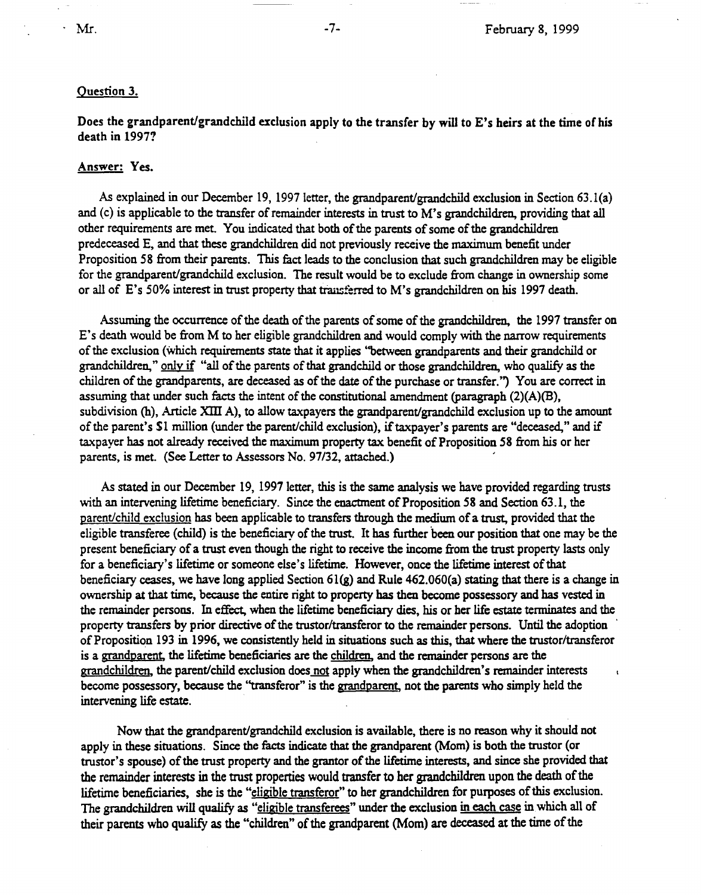### Question 3.

Does the grandparent/grandchild exclusion apply to the transfer by will to E's heirs at the time of his death in 1997?

## Answer: Yes.

As explained in our December 19, 1997 letter, the grandparent/grandchild exclusion in Section 63.l(a) and (c) is applicable to the transfer of remainder interests in trust to M's grandchildren, providing that all other requirements are met. You indicated that both of the parents of some of the grandchildren predeceased E, and that these grandchildren did not previously receive the maximum benefit under Proposition 58 from their parents. This fact leads to the conclusion that such grandchildren may be eligible for the grandparent/grandchild exclusion. The result would be to exclude from change in ownership some or all of E's 50% interest in trust property that transferred to M's grandchildren on his 1997 death.

Assuming the occurrence of the death of the parents of some of the grandchildren, the 1997 transfer on E's death would be from M to her eligible grandchildren and would comply with the narrow requirements of the exclusion (which requirements state that it applies "between grandparents and their grandchild or grandchildren," only if "all of the parents of that grandchild or those grandchildren, who qualify as the children of the grandparents, are deceased as of the date of the purchase or transfer.'') You are correct in assuming that under such facts the intent of the constitutional amendment (paragraph (2)(A)(B), subdivision (h), Article XIII A), to allow taxpayers the grandparent/grandchild exclusion up to the amount of the parent's \$1 million (under the parent/child exclusion), if taxpayer's parents are "deceased," and if taxpayer has not already received the maximum property tax benefit of Proposition 58 from bis or her parents, is met. (See Letter to Assessors No. 97/32, attached.)

As stated in our December 19, 1997 letter, this is the same analysis we have provided regarding trusts with an intervening lifetime beneficiary. Since the enactment of Proposition 58 and Section 63.1, the parent/child exclusion has been applicable to transfers through the medium of a trust, provided that the eligible transferee (child) is the beneficiary of the trust. It has further been our position that one may be the present beneficiary of a trust even though the right to receive the income from the trust property lasts only for a beneficiary's lifetime or someone else's lifetime. However, once the lifetime interest of that beneficiary ceases, we have long applied Section  $61(g)$  and Rule 462.060(a) stating that there is a change in ownership at that time, because the entire right to property has then become possessory and has vested in the remainder persons. In effect, when the lifetime beneficiary dies, his or her life estate terminates and the property transfers by prior directive of the trustor/transferor to the remainder persons. Until the adoption · of Proposition 193 in 1996, we consistently held in situations such as this, that where the trustor/transferor is a grandparent, the lifetime beneficiaries are the children, and the remainder persons are the grandchildren. the parent/child exclusion does not apply when the grandchildren's remainder interests become possessory, because the "transferor" is the grandparent, not the parents who simply held the intervening life estate.

Now that the grandparent/grandchild exclusion is available, there is no reason why it should not apply in these situations. Since the facts indicate that the grandparent (Mom) is both the trustor (or trustor's spouse) of the trust property and the grantor of the lifetime interests, and since she provided that the remainder interests in the trust properties would transfer to her grandchildren upon the death of the lifetime beneficiaries, she is the "eligible transferor" to her grandchildren for purposes of this exclusion. The grandchildren will qualify as "eligible transferees" under the exclusion in each case in which all of their parents who qualify as the "children" of the grandparent (Mom) are deceased at the time of the